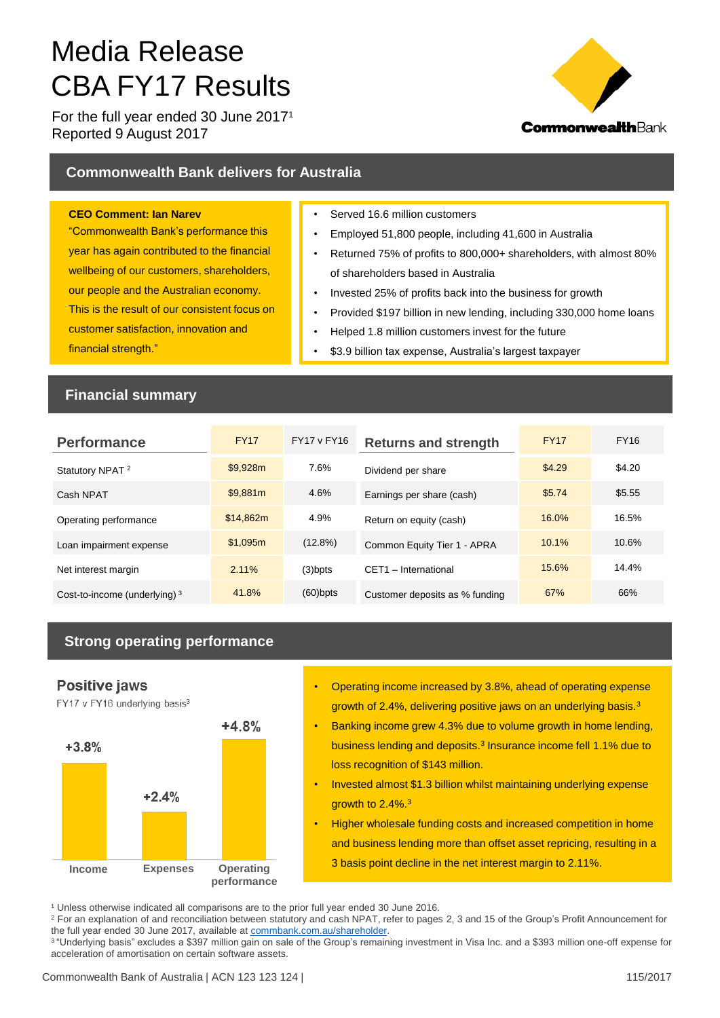# Media Release CBA FY17 Results

For the full year ended 30 June  $2017<sup>1</sup>$ Reported 9 August 2017



## **Commonwealth Bank delivers for Australia**

#### **CEO Comment: Ian Narev**

"Commonwealth Bank's performance this year has again contributed to the financial wellbeing of our customers, shareholders, our people and the Australian economy. This is the result of our consistent focus on customer satisfaction, innovation and financial strength."

- Served 16.6 million customers
- Employed 51,800 people, including 41,600 in Australia
- Returned 75% of profits to 800,000+ shareholders, with almost 80% of shareholders based in Australia
- Invested 25% of profits back into the business for growth
- Provided \$197 billion in new lending, including 330,000 home loans
- Helped 1.8 million customers invest for the future
- \$3.9 billion tax expense, Australia's largest taxpayer

## **Financial summary**

| <b>Performance</b>              | <b>FY17</b> | <b>FY17 v FY16</b> | <b>Returns and strength</b>    | <b>FY17</b> | <b>FY16</b> |
|---------------------------------|-------------|--------------------|--------------------------------|-------------|-------------|
| Statutory NPAT <sup>2</sup>     | \$9.928m    | 7.6%               | Dividend per share             | \$4.29      | \$4.20      |
| Cash NPAT                       | \$9.881m    | 4.6%               | Earnings per share (cash)      | \$5.74      | \$5.55      |
| Operating performance           | \$14.862m   | 4.9%               | Return on equity (cash)        | 16.0%       | 16.5%       |
| Loan impairment expense         | \$1.095m    | $(12.8\%)$         | Common Equity Tier 1 - APRA    | 10.1%       | 10.6%       |
| Net interest margin             | 2.11%       | $(3)$ bpts         | CFT1 - International           | 15.6%       | 14.4%       |
| Cost-to-income (underlying) $3$ | 41.8%       | $(60)$ bpts        | Customer deposits as % funding | 67%         | 66%         |

# **Strong operating performance**

## **Positive jaws**

FY17 v FY16 underlying basis<sup>3</sup>



- Operating income increased by 3.8%, ahead of operating expense growth of 2.4%, delivering positive jaws on an underlying basis.<sup>3</sup>
- Banking income grew 4.3% due to volume growth in home lending, business lending and deposits.<sup>3</sup> Insurance income fell 1.1% due to loss recognition of \$143 million.
- Invested almost \$1.3 billion whilst maintaining underlying expense growth to 2.4%.<sup>3</sup>
- Higher wholesale funding costs and increased competition in home and business lending more than offset asset repricing, resulting in a 3 basis point decline in the net interest margin to 2.11%.

<sup>1</sup> Unless otherwise indicated all comparisons are to the prior full year ended 30 June 2016.

<sup>2</sup> For an explanation of and reconciliation between statutory and cash NPAT, refer to pages 2, 3 and 15 of the Group's Profit Announcement for the full year ended 30 June 2017, available at [commbank.com.au/shareholder](https://www.commbank.com.au/about-us/shareholders/financial-information/results.html).

<sup>3</sup> "Underlying basis" excludes a \$397 million gain on sale of the Group's remaining investment in Visa Inc. and a \$393 million one-off expense for acceleration of amortisation on certain software assets.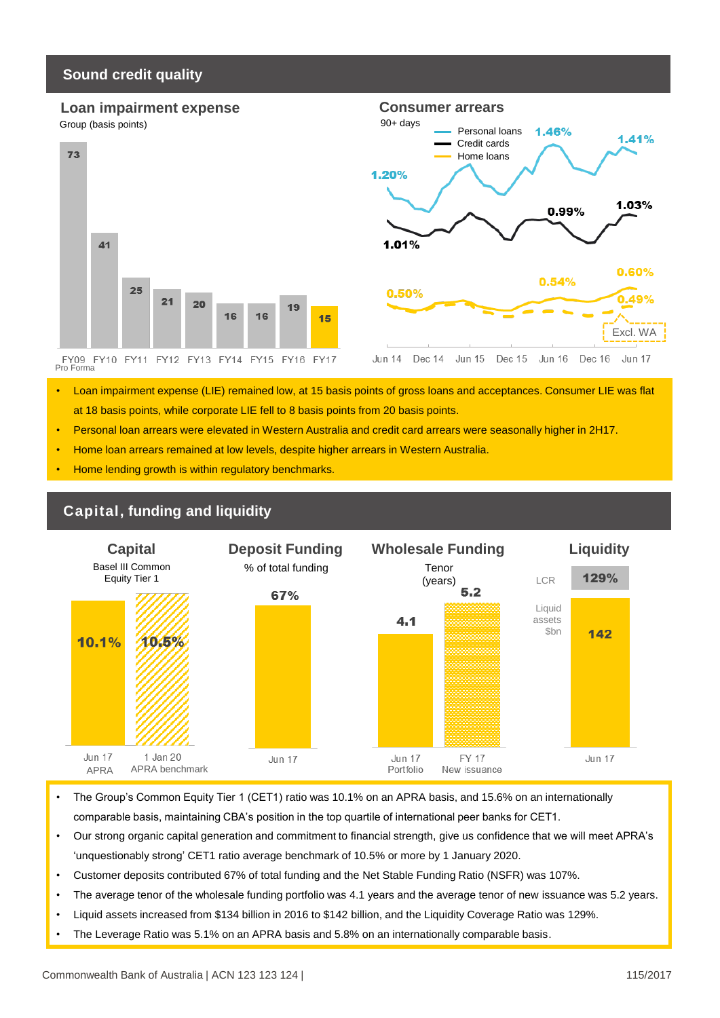## **Sound credit quality**



- Loan impairment expense (LIE) remained low, at 15 basis points of gross loans and acceptances. Consumer LIE was flat at 18 basis points, while corporate LIE fell to 8 basis points from 20 basis points.
- Personal loan arrears were elevated in Western Australia and credit card arrears were seasonally higher in 2H17.
- Home loan arrears remained at low levels, despite higher arrears in Western Australia.
- Home lending growth is within regulatory benchmarks.



- The Group's Common Equity Tier 1 (CET1) ratio was 10.1% on an APRA basis, and 15.6% on an internationally comparable basis, maintaining CBA's position in the top quartile of international peer banks for CET1.
- Our strong organic capital generation and commitment to financial strength, give us confidence that we will meet APRA's 'unquestionably strong' CET1 ratio average benchmark of 10.5% or more by 1 January 2020.
- Customer deposits contributed 67% of total funding and the Net Stable Funding Ratio (NSFR) was 107%.
- The average tenor of the wholesale funding portfolio was 4.1 years and the average tenor of new issuance was 5.2 years.
- Liquid assets increased from \$134 billion in 2016 to \$142 billion, and the Liquidity Coverage Ratio was 129%.
- The Leverage Ratio was 5.1% on an APRA basis and 5.8% on an internationally comparable basis.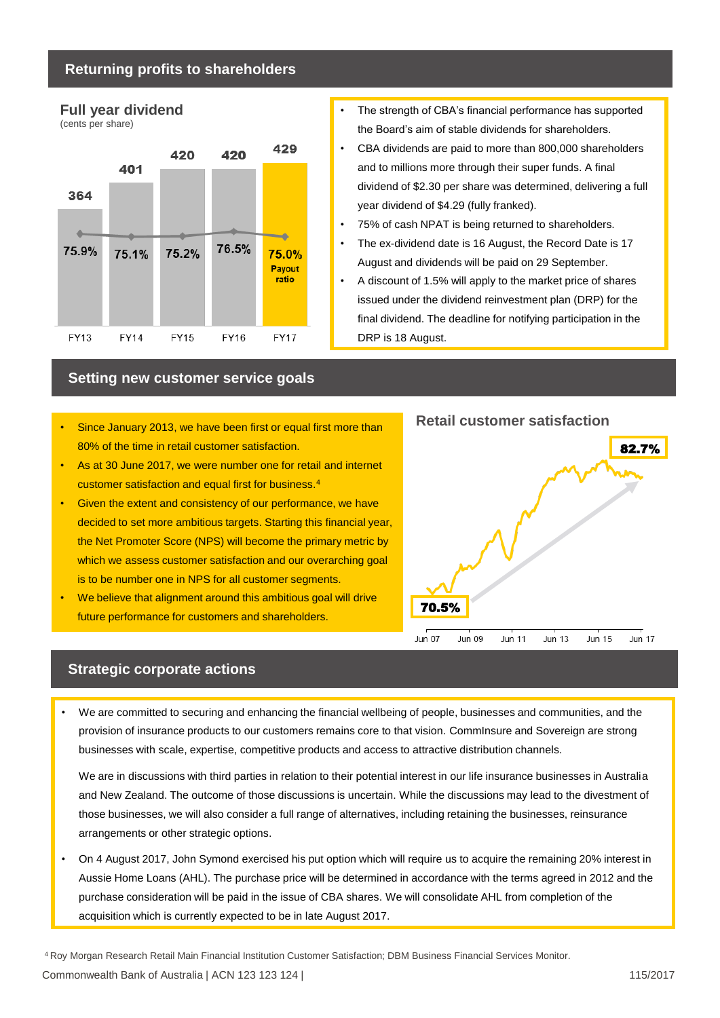#### **Returning profits to shareholders**



- The strength of CBA's financial performance has supported the Board's aim of stable dividends for shareholders.
- CBA dividends are paid to more than 800,000 shareholders and to millions more through their super funds. A final dividend of \$2.30 per share was determined, delivering a full year dividend of \$4.29 (fully franked).
- 75% of cash NPAT is being returned to shareholders.
- The ex-dividend date is 16 August, the Record Date is 17 August and dividends will be paid on 29 September.
- A discount of 1.5% will apply to the market price of shares issued under the dividend reinvestment plan (DRP) for the final dividend. The deadline for notifying participation in the DRP is 18 August.

#### **Setting new customer service goals**

- Since January 2013, we have been first or equal first more than 80% of the time in retail customer satisfaction.
- As at 30 June 2017, we were number one for retail and internet customer satisfaction and equal first for business.<sup>4</sup>
- Given the extent and consistency of our performance, we have decided to set more ambitious targets. Starting this financial year, the Net Promoter Score (NPS) will become the primary metric by which we assess customer satisfaction and our overarching goal is to be number one in NPS for all customer segments.
- We believe that alignment around this ambitious goal will drive future performance for customers and shareholders.



## **Strategic corporate actions**

• We are committed to securing and enhancing the financial wellbeing of people, businesses and communities, and the provision of insurance products to our customers remains core to that vision. CommInsure and Sovereign are strong businesses with scale, expertise, competitive products and access to attractive distribution channels.

We are in discussions with third parties in relation to their potential interest in our life insurance businesses in Australia and New Zealand. The outcome of those discussions is uncertain. While the discussions may lead to the divestment of those businesses, we will also consider a full range of alternatives, including retaining the businesses, reinsurance arrangements or other strategic options.

• On 4 August 2017, John Symond exercised his put option which will require us to acquire the remaining 20% interest in Aussie Home Loans (AHL). The purchase price will be determined in accordance with the terms agreed in 2012 and the purchase consideration will be paid in the issue of CBA shares. We will consolidate AHL from completion of the acquisition which is currently expected to be in late August 2017.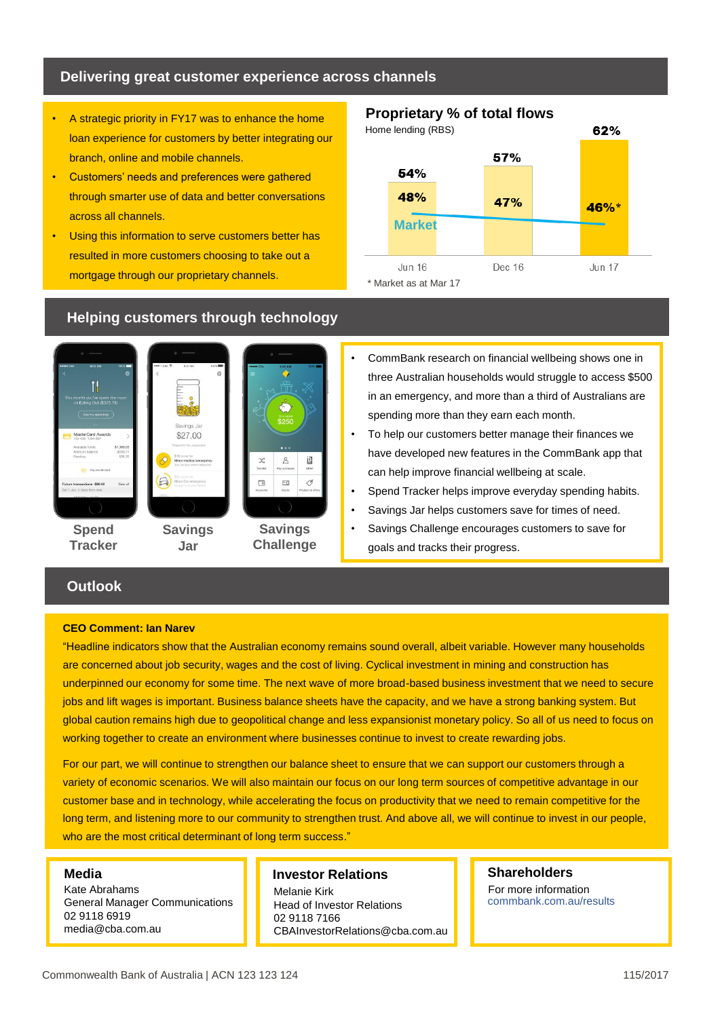## **Delivering great customer experience across channels**

- A strategic priority in FY17 was to enhance the home loan experience for customers by better integrating our branch, online and mobile channels.
- Customers' needs and preferences were gathered through smarter use of data and better conversations across all channels.
- Using this information to serve customers better has resulted in more customers choosing to take out a mortgage through our proprietary channels.

## **Proprietary % of total flows**



#### TI<sub>1</sub> savings . la \$27.00  $\chi^*_{\rm s}$  $\beta$ 阊  $\Box$  $\overline{\mathbb{R}}$ Î **Spend Savings Savings Tracker Challenge Jar**

## **Helping customers through technology**

- CommBank research on financial wellbeing shows one in three Australian households would struggle to access \$500 in an emergency, and more than a third of Australians are spending more than they earn each month.
- To help our customers better manage their finances we have developed new features in the CommBank app that can help improve financial wellbeing at scale.
- Spend Tracker helps improve everyday spending habits.
- Savings Jar helps customers save for times of need.
- Savings Challenge encourages customers to save for goals and tracks their progress.

## **Outlook**

#### **CEO Comment: Ian Narev**

"Headline indicators show that the Australian economy remains sound overall, albeit variable. However many households are concerned about job security, wages and the cost of living. Cyclical investment in mining and construction has underpinned our economy for some time. The next wave of more broad-based business investment that we need to secure jobs and lift wages is important. Business balance sheets have the capacity, and we have a strong banking system. But global caution remains high due to geopolitical change and less expansionist monetary policy. So all of us need to focus on working together to create an environment where businesses continue to invest to create rewarding jobs.

For our part, we will continue to strengthen our balance sheet to ensure that we can support our customers through a variety of economic scenarios. We will also maintain our focus on our long term sources of competitive advantage in our customer base and in technology, while accelerating the focus on productivity that we need to remain competitive for the long term, and listening more to our community to strengthen trust. And above all, we will continue to invest in our people, who are the most critical determinant of long term success."

#### **Media**

Kate Abrahams General Manager Communications 02 9118 6919 media@cba.com.au

#### **Investor Relations**

Melanie Kirk Head of Investor Relations 02 9118 7166 CBAInvestorRelations@cba.com.au

#### **Shareholders** For more information commbank.com.au/results